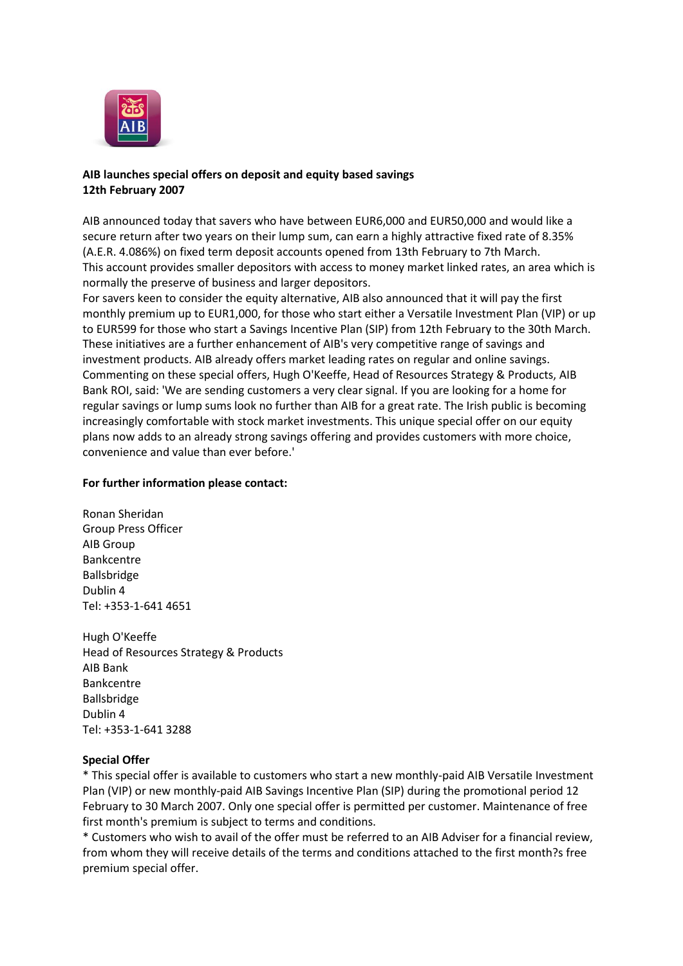

## **AIB launches special offers on deposit and equity based savings 12th February 2007**

AIB announced today that savers who have between EUR6,000 and EUR50,000 and would like a secure return after two years on their lump sum, can earn a highly attractive fixed rate of 8.35% (A.E.R. 4.086%) on fixed term deposit accounts opened from 13th February to 7th March. This account provides smaller depositors with access to money market linked rates, an area which is normally the preserve of business and larger depositors.

For savers keen to consider the equity alternative, AIB also announced that it will pay the first monthly premium up to EUR1,000, for those who start either a Versatile Investment Plan (VIP) or up to EUR599 for those who start a Savings Incentive Plan (SIP) from 12th February to the 30th March. These initiatives are a further enhancement of AIB's very competitive range of savings and investment products. AIB already offers market leading rates on regular and online savings. Commenting on these special offers, Hugh O'Keeffe, Head of Resources Strategy & Products, AIB Bank ROI, said: 'We are sending customers a very clear signal. If you are looking for a home for regular savings or lump sums look no further than AIB for a great rate. The Irish public is becoming increasingly comfortable with stock market investments. This unique special offer on our equity plans now adds to an already strong savings offering and provides customers with more choice, convenience and value than ever before.'

## **For further information please contact:**

Ronan Sheridan Group Press Officer AIB Group Bankcentre Ballsbridge Dublin 4 Tel: +353-1-641 4651

Hugh O'Keeffe Head of Resources Strategy & Products AIB Bank Bankcentre Ballsbridge Dublin 4 Tel: +353-1-641 3288

## **Special Offer**

\* This special offer is available to customers who start a new monthly-paid AIB Versatile Investment Plan (VIP) or new monthly-paid AIB Savings Incentive Plan (SIP) during the promotional period 12 February to 30 March 2007. Only one special offer is permitted per customer. Maintenance of free first month's premium is subject to terms and conditions.

\* Customers who wish to avail of the offer must be referred to an AIB Adviser for a financial review, from whom they will receive details of the terms and conditions attached to the first month?s free premium special offer.